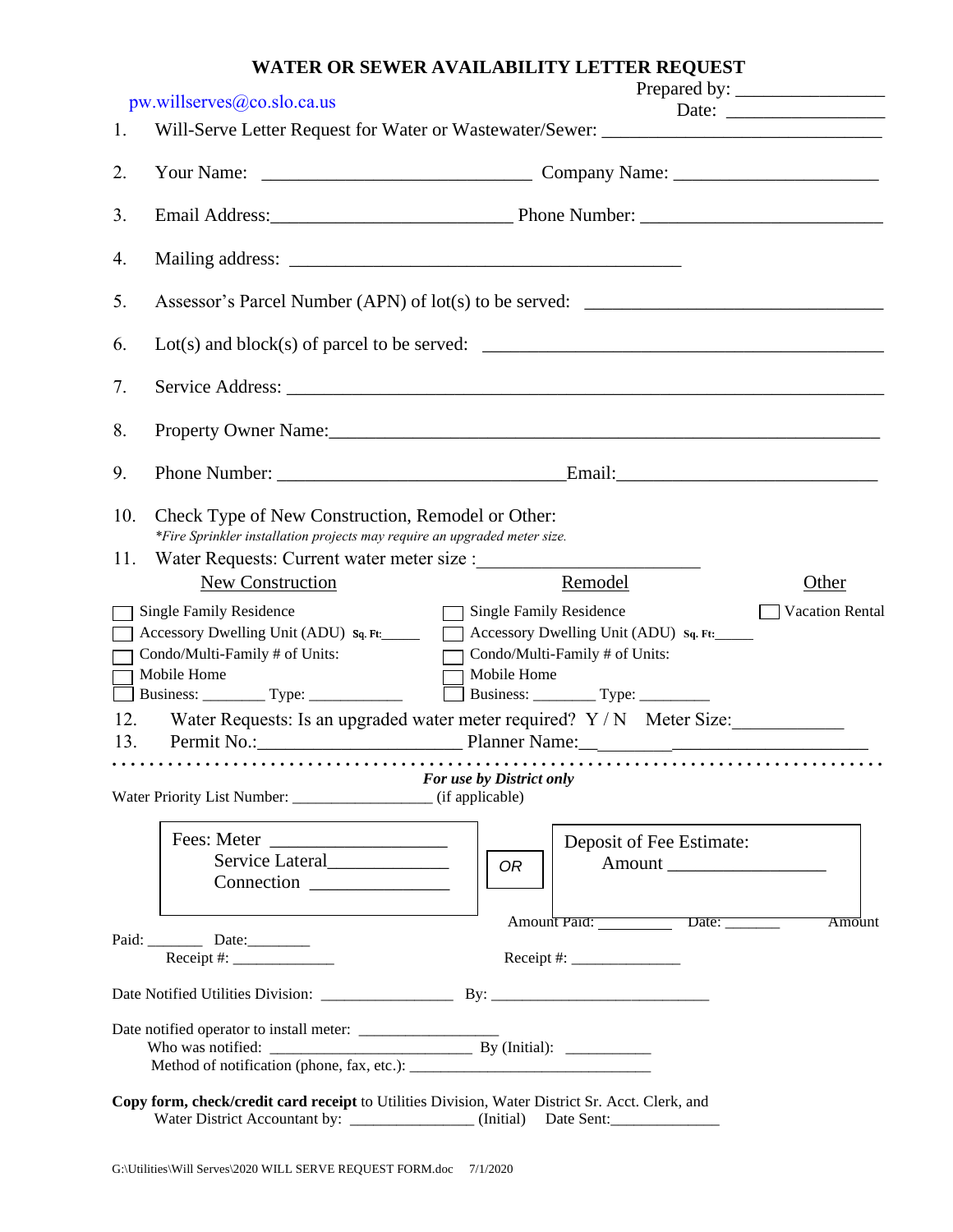| pw.willserves @co.slo.ca.us                                                                                                                                                         |                                                                                                                                |                                                                        |               |  |  |  |
|-------------------------------------------------------------------------------------------------------------------------------------------------------------------------------------|--------------------------------------------------------------------------------------------------------------------------------|------------------------------------------------------------------------|---------------|--|--|--|
| 1.                                                                                                                                                                                  | Will-Serve Letter Request for Water or Wastewater/Sewer: ________________________                                              |                                                                        |               |  |  |  |
| 2.                                                                                                                                                                                  |                                                                                                                                |                                                                        |               |  |  |  |
| 3.                                                                                                                                                                                  |                                                                                                                                |                                                                        |               |  |  |  |
| 4.                                                                                                                                                                                  |                                                                                                                                |                                                                        |               |  |  |  |
| 5.                                                                                                                                                                                  | Assessor's Parcel Number (APN) of lot(s) to be served:                                                                         |                                                                        |               |  |  |  |
| 6.                                                                                                                                                                                  |                                                                                                                                |                                                                        |               |  |  |  |
| 7.                                                                                                                                                                                  |                                                                                                                                |                                                                        |               |  |  |  |
| 8.                                                                                                                                                                                  |                                                                                                                                |                                                                        |               |  |  |  |
| 9.                                                                                                                                                                                  |                                                                                                                                |                                                                        |               |  |  |  |
| 10.                                                                                                                                                                                 | Check Type of New Construction, Remodel or Other:<br>*Fire Sprinkler installation projects may require an upgraded meter size. |                                                                        |               |  |  |  |
| 11.                                                                                                                                                                                 | Water Requests: Current water meter size :                                                                                     |                                                                        |               |  |  |  |
|                                                                                                                                                                                     | New Construction                                                                                                               | Other<br>Remodel                                                       |               |  |  |  |
| Vacation Rental<br><b>Single Family Residence</b><br>Single Family Residence                                                                                                        |                                                                                                                                |                                                                        |               |  |  |  |
|                                                                                                                                                                                     | Accessory Dwelling Unit (ADU) sq. Ft:<br>Accessory Dwelling Unit (ADU) sq. Ft:                                                 |                                                                        |               |  |  |  |
|                                                                                                                                                                                     | Condo/Multi-Family # of Units:<br>Condo/Multi-Family # of Units:<br>$\Box$                                                     |                                                                        |               |  |  |  |
|                                                                                                                                                                                     | Mobile Home<br>Mobile Home<br>$\mathbf{I}$                                                                                     |                                                                        |               |  |  |  |
|                                                                                                                                                                                     |                                                                                                                                |                                                                        |               |  |  |  |
| 12.                                                                                                                                                                                 |                                                                                                                                | Water Requests: Is an upgraded water meter required? Y / N Meter Size: |               |  |  |  |
| Permit No.: Permit No.: Planner Name: Planner Name:<br>13.                                                                                                                          |                                                                                                                                |                                                                        |               |  |  |  |
| For use by District only                                                                                                                                                            |                                                                                                                                |                                                                        |               |  |  |  |
|                                                                                                                                                                                     |                                                                                                                                | Deposit of Fee Estimate:                                               |               |  |  |  |
|                                                                                                                                                                                     | Service Lateral_______________                                                                                                 | 0R                                                                     |               |  |  |  |
|                                                                                                                                                                                     |                                                                                                                                |                                                                        |               |  |  |  |
|                                                                                                                                                                                     | Paid: Date:                                                                                                                    | Amount Paid: Date:                                                     | <b>Amount</b> |  |  |  |
|                                                                                                                                                                                     |                                                                                                                                |                                                                        |               |  |  |  |
|                                                                                                                                                                                     |                                                                                                                                |                                                                        |               |  |  |  |
|                                                                                                                                                                                     |                                                                                                                                |                                                                        |               |  |  |  |
|                                                                                                                                                                                     |                                                                                                                                |                                                                        |               |  |  |  |
| Copy form, check/credit card receipt to Utilities Division, Water District Sr. Acct. Clerk, and<br>Water District Accountant by: ________________(Initial) Date Sent: _____________ |                                                                                                                                |                                                                        |               |  |  |  |

## **WATER OR SEWER AVAILABILITY LETTER REQUEST**